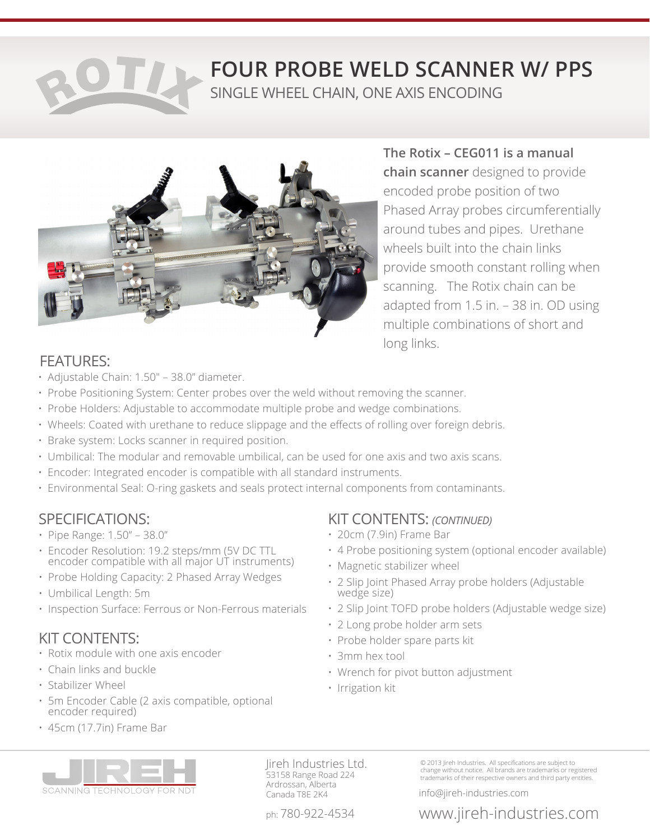# **FOUR PROBE WELD SCANNER W/ PPS** SINGLE WHEEL CHAIN, ONE AXIS ENCODING



**The Rotix – CEG011 is a manual chain scanner** designed to provide encoded probe position of two Phased Array probes circumferentially around tubes and pipes. Urethane wheels built into the chain links provide smooth constant rolling when scanning. The Rotix chain can be adapted from 1.5 in. – 38 in. OD using multiple combinations of short and long links.

## FEATURES:

- Adjustable Chain: 1.50″ 38.0" diameter.
- Probe Positioning System: Center probes over the weld without removing the scanner.
- Probe Holders: Adjustable to accommodate multiple probe and wedge combinations.
- Wheels: Coated with urethane to reduce slippage and the effects of rolling over foreign debris.
- Brake system: Locks scanner in required position.
- Umbilical: The modular and removable umbilical, can be used for one axis and two axis scans.
- Encoder: Integrated encoder is compatible with all standard instruments.
- Environmental Seal: O-ring gaskets and seals protect internal components from contaminants.

## SPECIFICATIONS:

- Pipe Range: 1.50" 38.0"
- Encoder Resolution: 19.2 steps/mm (5V DC TTL encoder compatible with all major UT instruments)
- Probe Holding Capacity: 2 Phased Array Wedges
- Umbilical Length: 5m
- Inspection Surface: Ferrous or Non-Ferrous materials

## KIT CONTENTS:

- Rotix module with one axis encoder
- Chain links and buckle
- Stabilizer Wheel
- 5m Encoder Cable (2 axis compatible, optional encoder required)
- 45cm (17.7in) Frame Bar

## KIT CONTENTS: *(CONTINUED)*

- 20cm (7.9in) Frame Bar
- 4 Probe positioning system (optional encoder available)
- Magnetic stabilizer wheel
- 2 Slip Joint Phased Array probe holders (Adjustable wedge size)
- 2 Slip Joint TOFD probe holders (Adjustable wedge size)
- 2 Long probe holder arm sets
- Probe holder spare parts kit
- 3mm hex tool
- Wrench for pivot button adjustment
- Irrigation kit



Jireh Industries Ltd. 53158 Range Road 224 Ardrossan, Alberta Canada T8E 2K4

© 2013 Jireh Industries. All specifications are subject to change without notice. All brands are trademarks or registered trademarks of their respective owners and third party entities.

info@jireh-industries.com

## ph: 780-922-4534 www.jireh-industries.com